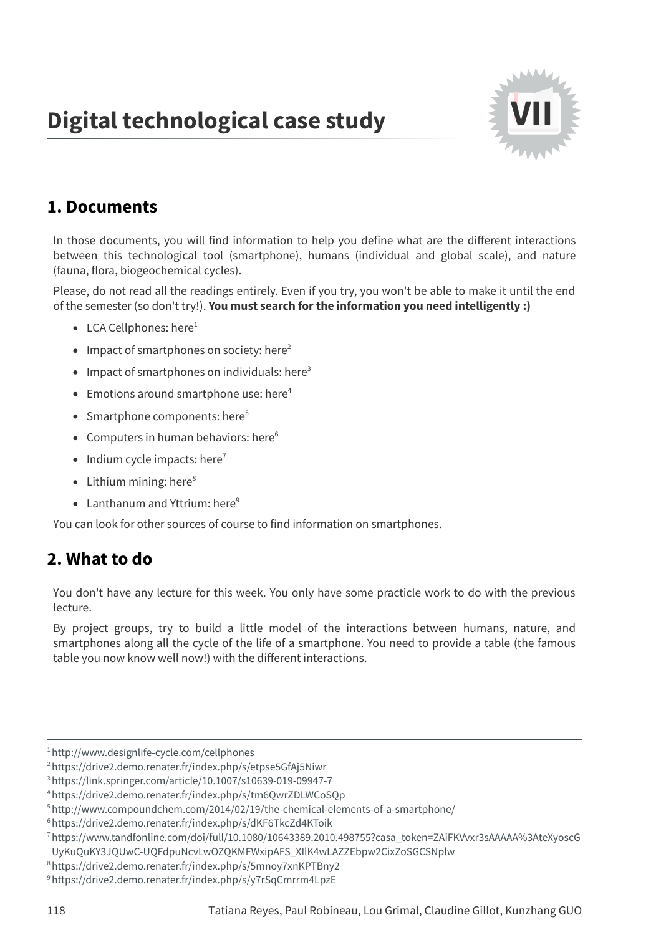## **Digital technological case study**



## **1. Documents**

In those documents, you will find information to help you define what are the different interactions between this technological tool (smartphone), humans (individual and global scale), and nature (fauna, flora, biogeochemical cycles).

Please, do not read all the readings entirely. Even if you try, you won't be able to make it until the end of the semester (so don't try!). **You must search for the information you need intelligently :)**

- LCA Cellphones: [here](http://www.designlife-cycle.com/cellphones)<sup>1</sup>
- Impact of smartphones on society: [here](https://drive2.demo.renater.fr/index.php/s/etpse5GfAj5Niwr) 2
- Impact of smartphones on individuals: [here](https://link.springer.com/article/10.1007/s10639-019-09947-7) 3
- Emotions around smartphone use: [here](https://drive2.demo.renater.fr/index.php/s/tm6QwrZDLWCoSQp) 4
- Smartphone components: [here](http://www.compoundchem.com/2014/02/19/the-chemical-elements-of-a-smartphone/) 5
- Computers in human behaviors: [here](https://drive2.demo.renater.fr/index.php/s/dKF6TkcZd4KToik) 6
- Indium cycle impacts: [here](https://www.tandfonline.com/doi/full/10.1080/10643389.2010.498755?casa_token=ZAiFKVvxr3sAAAAA%3AteXyoscGUyKuQuKY3JQUwC-UQFdpuNcvLwOZQKMFWxipAFS_XIlK4wLAZZEbpw2CixZoSGCSNplw) $^7$
- Lithium mining: [here](https://drive2.demo.renater.fr/index.php/s/5mnoy7xnKPTBny2) 8
- Lanthanum and Yttrium: [here](https://drive2.demo.renater.fr/index.php/s/y7rSqCmrrm4LpzE)<sup>9</sup>

You can look for other sources of course to find information on smartphones.

## **2. What to do**

You don't have any lecture for this week. You only have some practicle work to do with the previous lecture.

By project groups, try to build a little model of the interactions between humans, nature, and smartphones along all the cycle of the life of a smartphone. You need to provide a table (the famous table you now know well now!) with the different interactions.

<sup>1</sup><http://www.designlife-cycle.com/cellphones>

<sup>2</sup><https://drive2.demo.renater.fr/index.php/s/etpse5GfAj5Niwr>

<sup>3</sup><https://link.springer.com/article/10.1007/s10639-019-09947-7>

<sup>4</sup><https://drive2.demo.renater.fr/index.php/s/tm6QwrZDLWCoSQp>

<sup>5</sup><http://www.compoundchem.com/2014/02/19/the-chemical-elements-of-a-smartphone/>

<sup>6</sup><https://drive2.demo.renater.fr/index.php/s/dKF6TkcZd4KToik>

<sup>7</sup>[https://www.tandfonline.com/doi/full/10.1080/10643389.2010.498755?casa\\_token=ZAiFKVvxr3sAAAAA%3AteXyoscG](https://www.tandfonline.com/doi/full/10.1080/10643389.2010.498755?casa_token=ZAiFKVvxr3sAAAAA%3AteXyoscGUyKuQuKY3JQUwC-UQFdpuNcvLwOZQKMFWxipAFS_XIlK4wLAZZEbpw2CixZoSGCSNplw)

UyKuQuKY3JQUwC-UQFdpuNcvLwOZQKMFWxipAFS\_XIlK4wLAZZEbpw2CixZoSGCSNplw

<sup>8</sup><https://drive2.demo.renater.fr/index.php/s/5mnoy7xnKPTBny2>

<sup>9</sup><https://drive2.demo.renater.fr/index.php/s/y7rSqCmrrm4LpzE>